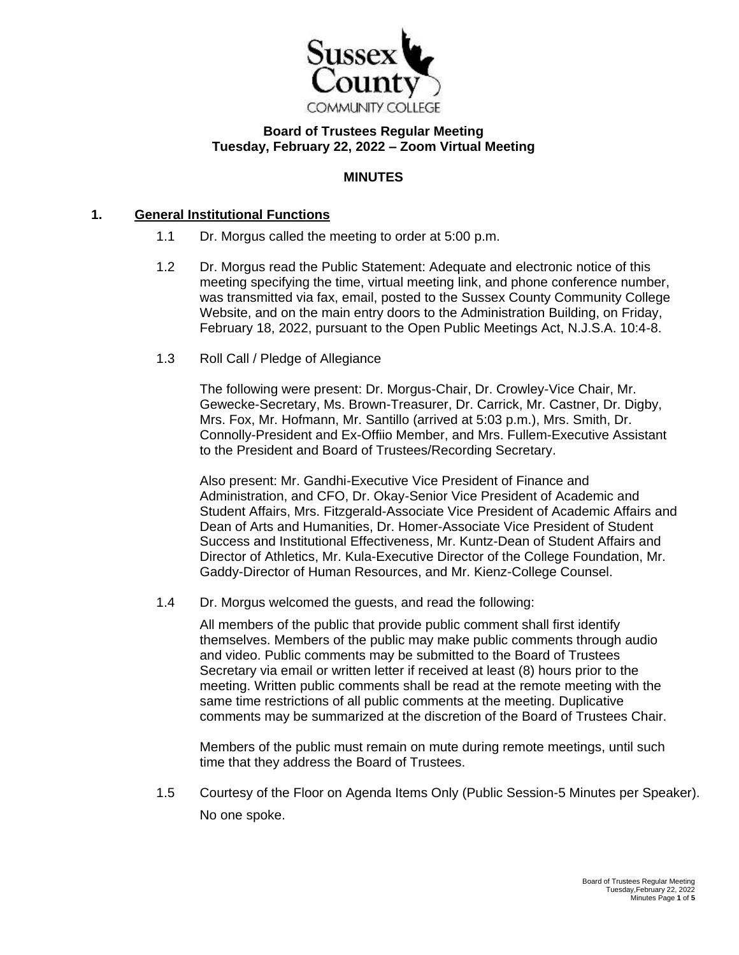

# **Board of Trustees Regular Meeting Tuesday, February 22, 2022 – Zoom Virtual Meeting**

## **MINUTES**

### **1. General Institutional Functions**

- 1.1 Dr. Morgus called the meeting to order at 5:00 p.m.
- 1.2 Dr. Morgus read the Public Statement: Adequate and electronic notice of this meeting specifying the time, virtual meeting link, and phone conference number, was transmitted via fax, email, posted to the Sussex County Community College Website, and on the main entry doors to the Administration Building, on Friday, February 18, 2022, pursuant to the Open Public Meetings Act, N.J.S.A. 10:4-8.
- 1.3 Roll Call / Pledge of Allegiance

The following were present: Dr. Morgus-Chair, Dr. Crowley-Vice Chair, Mr. Gewecke-Secretary, Ms. Brown-Treasurer, Dr. Carrick, Mr. Castner, Dr. Digby, Mrs. Fox, Mr. Hofmann, Mr. Santillo (arrived at 5:03 p.m.), Mrs. Smith, Dr. Connolly-President and Ex-Offiio Member, and Mrs. Fullem-Executive Assistant to the President and Board of Trustees/Recording Secretary.

Also present: Mr. Gandhi-Executive Vice President of Finance and Administration, and CFO, Dr. Okay-Senior Vice President of Academic and Student Affairs, Mrs. Fitzgerald-Associate Vice President of Academic Affairs and Dean of Arts and Humanities, Dr. Homer-Associate Vice President of Student Success and Institutional Effectiveness, Mr. Kuntz-Dean of Student Affairs and Director of Athletics, Mr. Kula-Executive Director of the College Foundation, Mr. Gaddy-Director of Human Resources, and Mr. Kienz-College Counsel.

1.4 Dr. Morgus welcomed the guests, and read the following:

All members of the public that provide public comment shall first identify themselves. Members of the public may make public comments through audio and video. Public comments may be submitted to the Board of Trustees Secretary via email or written letter if received at least (8) hours prior to the meeting. Written public comments shall be read at the remote meeting with the same time restrictions of all public comments at the meeting. Duplicative comments may be summarized at the discretion of the Board of Trustees Chair.

Members of the public must remain on mute during remote meetings, until such time that they address the Board of Trustees.

1.5 Courtesy of the Floor on Agenda Items Only (Public Session-5 Minutes per Speaker). No one spoke.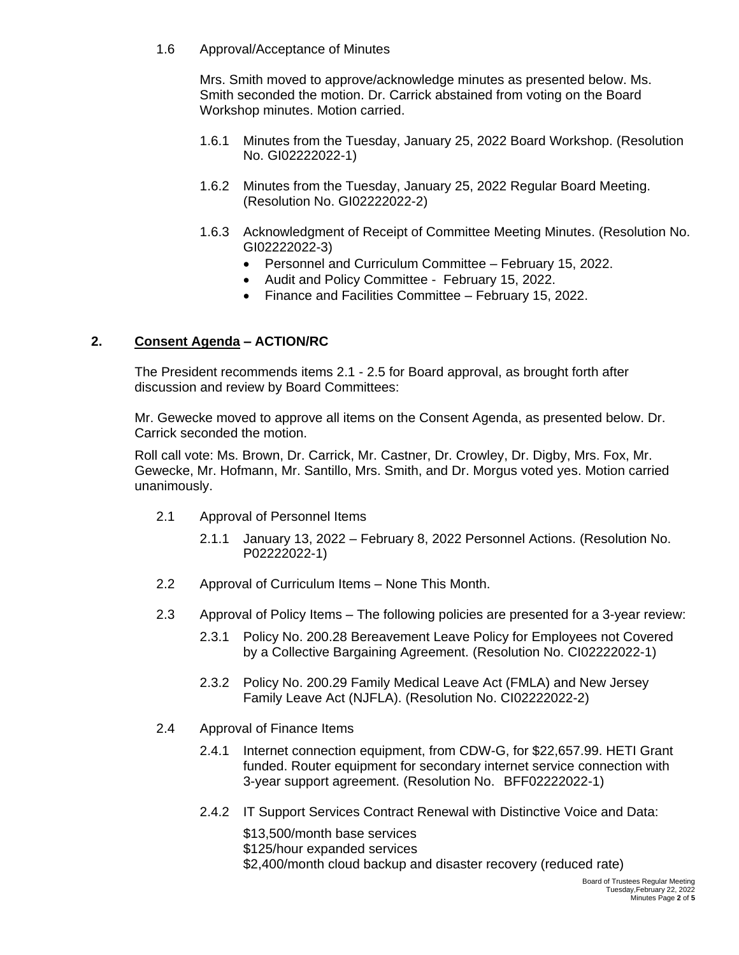1.6 Approval/Acceptance of Minutes

Mrs. Smith moved to approve/acknowledge minutes as presented below. Ms. Smith seconded the motion. Dr. Carrick abstained from voting on the Board Workshop minutes. Motion carried.

- 1.6.1 Minutes from the Tuesday, January 25, 2022 Board Workshop. (Resolution No. GI02222022-1)
- 1.6.2 Minutes from the Tuesday, January 25, 2022 Regular Board Meeting. (Resolution No. GI02222022-2)
- 1.6.3 Acknowledgment of Receipt of Committee Meeting Minutes. (Resolution No. GI02222022-3)
	- Personnel and Curriculum Committee February 15, 2022.
	- Audit and Policy Committee February 15, 2022.
	- Finance and Facilities Committee February 15, 2022.

## **2. Consent Agenda – ACTION/RC**

The President recommends items 2.1 - 2.5 for Board approval, as brought forth after discussion and review by Board Committees:

Mr. Gewecke moved to approve all items on the Consent Agenda, as presented below. Dr. Carrick seconded the motion.

Roll call vote: Ms. Brown, Dr. Carrick, Mr. Castner, Dr. Crowley, Dr. Digby, Mrs. Fox, Mr. Gewecke, Mr. Hofmann, Mr. Santillo, Mrs. Smith, and Dr. Morgus voted yes. Motion carried unanimously.

- 2.1 Approval of Personnel Items
	- 2.1.1 January 13, 2022 February 8, 2022 Personnel Actions. (Resolution No. P02222022-1)
- 2.2 Approval of Curriculum Items None This Month.
- 2.3 Approval of Policy Items The following policies are presented for a 3-year review:
	- 2.3.1 Policy No. 200.28 Bereavement Leave Policy for Employees not Covered by a Collective Bargaining Agreement. (Resolution No. CI02222022-1)
	- 2.3.2 Policy No. 200.29 Family Medical Leave Act (FMLA) and New Jersey Family Leave Act (NJFLA). (Resolution No. CI02222022-2)
- 2.4 Approval of Finance Items
	- 2.4.1 Internet connection equipment, from CDW-G, for \$22,657.99. HETI Grant funded. Router equipment for secondary internet service connection with 3-year support agreement. (Resolution No. BFF02222022-1)
	- 2.4.2 IT Support Services Contract Renewal with Distinctive Voice and Data:

\$13,500/month base services

\$125/hour expanded services

\$2,400/month cloud backup and disaster recovery (reduced rate)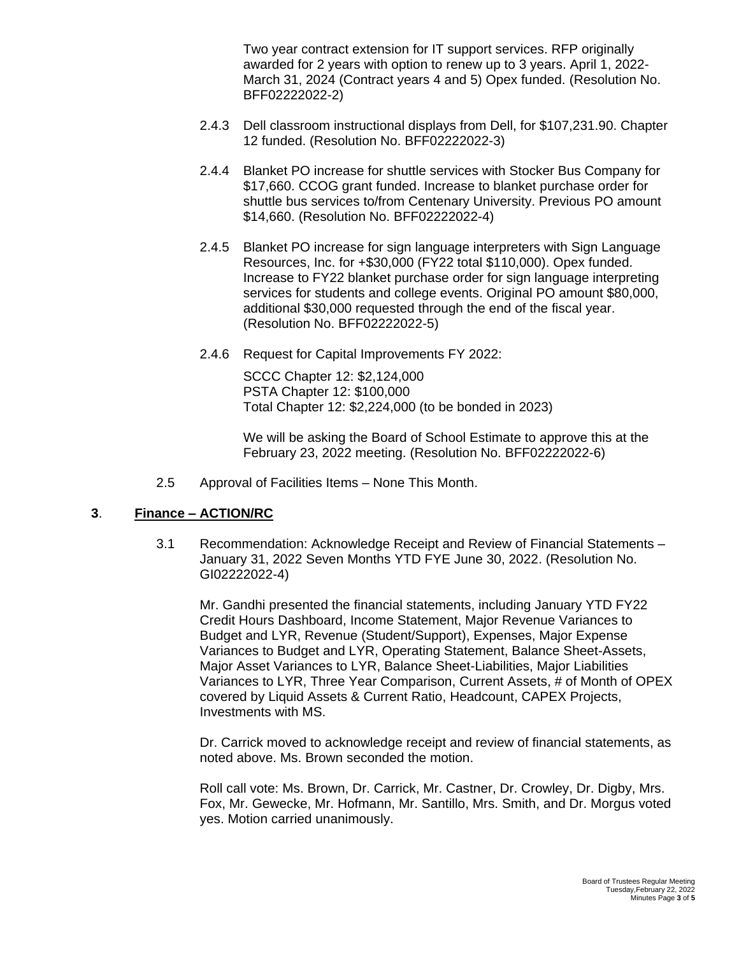Two year contract extension for IT support services. RFP originally awarded for 2 years with option to renew up to 3 years. April 1, 2022- March 31, 2024 (Contract years 4 and 5) Opex funded. (Resolution No. BFF02222022-2)

- 2.4.3 Dell classroom instructional displays from Dell, for \$107,231.90. Chapter 12 funded. (Resolution No. BFF02222022-3)
- 2.4.4 Blanket PO increase for shuttle services with Stocker Bus Company for \$17,660. CCOG grant funded. Increase to blanket purchase order for shuttle bus services to/from Centenary University. Previous PO amount \$14,660. (Resolution No. BFF02222022-4)
- 2.4.5 Blanket PO increase for sign language interpreters with Sign Language Resources, Inc. for +\$30,000 (FY22 total \$110,000). Opex funded. Increase to FY22 blanket purchase order for sign language interpreting services for students and college events. Original PO amount \$80,000, additional \$30,000 requested through the end of the fiscal year. (Resolution No. BFF02222022-5)
- 2.4.6 Request for Capital Improvements FY 2022:

SCCC Chapter 12: \$2,124,000 PSTA Chapter 12: \$100,000 Total Chapter 12: \$2,224,000 (to be bonded in 2023)

We will be asking the Board of School Estimate to approve this at the February 23, 2022 meeting. (Resolution No. BFF02222022-6)

2.5 Approval of Facilities Items – None This Month.

## **3**. **Finance – ACTION/RC**

3.1 Recommendation: Acknowledge Receipt and Review of Financial Statements – January 31, 2022 Seven Months YTD FYE June 30, 2022. (Resolution No. GI02222022-4)

Mr. Gandhi presented the financial statements, including January YTD FY22 Credit Hours Dashboard, Income Statement, Major Revenue Variances to Budget and LYR, Revenue (Student/Support), Expenses, Major Expense Variances to Budget and LYR, Operating Statement, Balance Sheet-Assets, Major Asset Variances to LYR, Balance Sheet-Liabilities, Major Liabilities Variances to LYR, Three Year Comparison, Current Assets, # of Month of OPEX covered by Liquid Assets & Current Ratio, Headcount, CAPEX Projects, Investments with MS.

Dr. Carrick moved to acknowledge receipt and review of financial statements, as noted above. Ms. Brown seconded the motion.

Roll call vote: Ms. Brown, Dr. Carrick, Mr. Castner, Dr. Crowley, Dr. Digby, Mrs. Fox, Mr. Gewecke, Mr. Hofmann, Mr. Santillo, Mrs. Smith, and Dr. Morgus voted yes. Motion carried unanimously.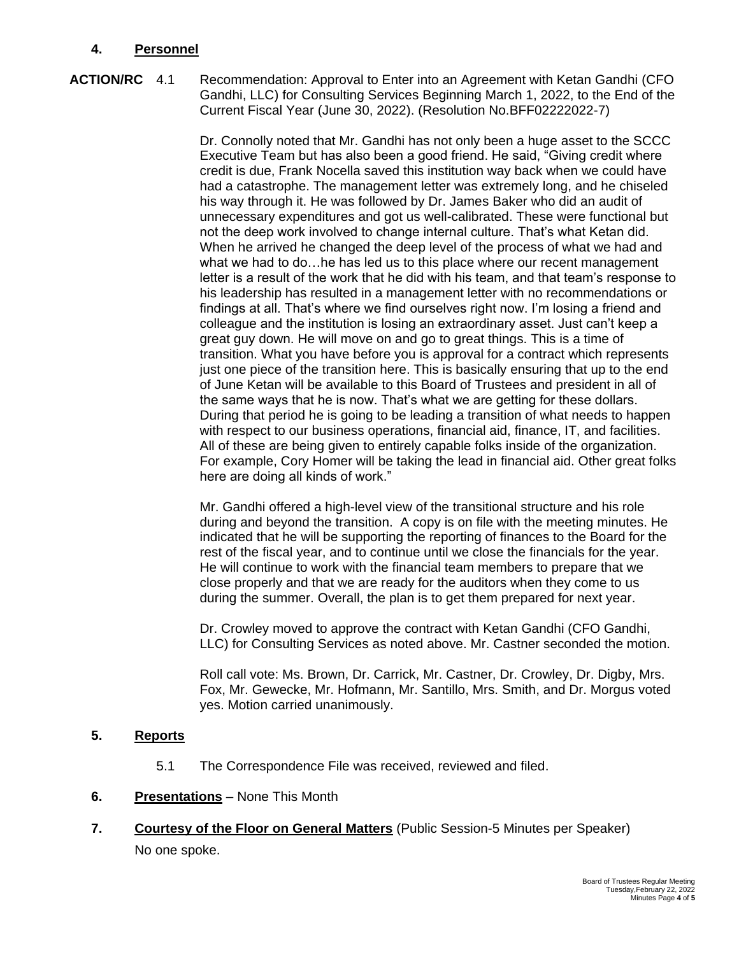## **4. Personnel**

**ACTION/RC** 4.1 Recommendation: Approval to Enter into an Agreement with Ketan Gandhi (CFO Gandhi, LLC) for Consulting Services Beginning March 1, 2022, to the End of the Current Fiscal Year (June 30, 2022). (Resolution No.BFF02222022-7)

> Dr. Connolly noted that Mr. Gandhi has not only been a huge asset to the SCCC Executive Team but has also been a good friend. He said, "Giving credit where credit is due, Frank Nocella saved this institution way back when we could have had a catastrophe. The management letter was extremely long, and he chiseled his way through it. He was followed by Dr. James Baker who did an audit of unnecessary expenditures and got us well-calibrated. These were functional but not the deep work involved to change internal culture. That's what Ketan did. When he arrived he changed the deep level of the process of what we had and what we had to do…he has led us to this place where our recent management letter is a result of the work that he did with his team, and that team's response to his leadership has resulted in a management letter with no recommendations or findings at all. That's where we find ourselves right now. I'm losing a friend and colleague and the institution is losing an extraordinary asset. Just can't keep a great guy down. He will move on and go to great things. This is a time of transition. What you have before you is approval for a contract which represents just one piece of the transition here. This is basically ensuring that up to the end of June Ketan will be available to this Board of Trustees and president in all of the same ways that he is now. That's what we are getting for these dollars. During that period he is going to be leading a transition of what needs to happen with respect to our business operations, financial aid, finance, IT, and facilities. All of these are being given to entirely capable folks inside of the organization. For example, Cory Homer will be taking the lead in financial aid. Other great folks here are doing all kinds of work."

Mr. Gandhi offered a high-level view of the transitional structure and his role during and beyond the transition. A copy is on file with the meeting minutes. He indicated that he will be supporting the reporting of finances to the Board for the rest of the fiscal year, and to continue until we close the financials for the year. He will continue to work with the financial team members to prepare that we close properly and that we are ready for the auditors when they come to us during the summer. Overall, the plan is to get them prepared for next year.

Dr. Crowley moved to approve the contract with Ketan Gandhi (CFO Gandhi, LLC) for Consulting Services as noted above. Mr. Castner seconded the motion.

Roll call vote: Ms. Brown, Dr. Carrick, Mr. Castner, Dr. Crowley, Dr. Digby, Mrs. Fox, Mr. Gewecke, Mr. Hofmann, Mr. Santillo, Mrs. Smith, and Dr. Morgus voted yes. Motion carried unanimously.

## **5. Reports**

- 5.1 The Correspondence File was received, reviewed and filed.
- **6. Presentations** None This Month
- **7. Courtesy of the Floor on General Matters** (Public Session-5 Minutes per Speaker) No one spoke.